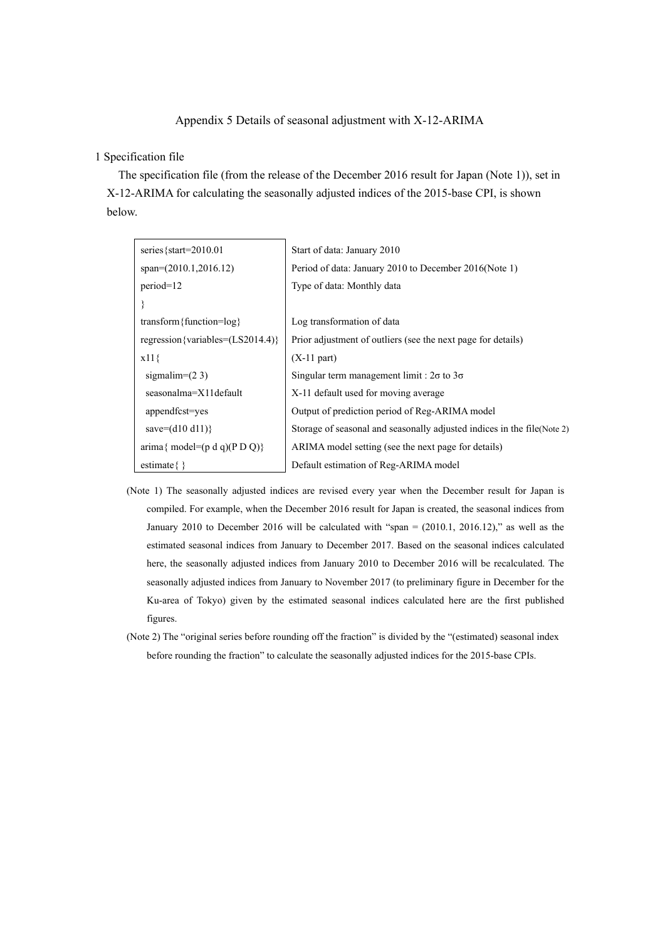## Appendix 5 Details of seasonal adjustment with  $X-12-ARIMA$

#### 1 Specification file

The specification file (from the release of the December 2016 result for Japan (Note 1)), set in X-12-ARIMA for calculating the seasonally adjusted indices of the 2015-base CPI, is shown .below

| series { $start=2010.01$                                          | Start of data: January 2010                                              |  |  |  |
|-------------------------------------------------------------------|--------------------------------------------------------------------------|--|--|--|
| $span=(2010.1,2016.12)$                                           | Period of data: January 2010 to December 2016(Note 1)                    |  |  |  |
| $period=12$                                                       | Type of data: Monthly data                                               |  |  |  |
|                                                                   |                                                                          |  |  |  |
| transform { function= $log$ }                                     | Log transformation of data                                               |  |  |  |
| regression {variables= $(LS2014.4)$ }                             | Prior adjustment of outliers (see the next page for details)             |  |  |  |
| $x11\}$                                                           | $(X-11$ part)                                                            |  |  |  |
| sigmalim= $(2 3)$                                                 | Singular term management limit : $2\sigma$ to $3\sigma$                  |  |  |  |
| seasonalma=X11default                                             | X-11 default used for moving average                                     |  |  |  |
| appendfcst=yes                                                    | Output of prediction period of Reg-ARIMA model                           |  |  |  |
| save= $(d10 d11)$ }                                               | Storage of seasonal and seasonally adjusted indices in the file (Note 2) |  |  |  |
| $\text{arima} \{ \text{ model} = (\text{p d q})(\text{P D Q}) \}$ | ARIMA model setting (see the next page for details)                      |  |  |  |
| estimate $\{\}$                                                   | Default estimation of Reg-ARIMA model                                    |  |  |  |

- (Note 1) The seasonally adjusted indices are revised every year when the December result for Japan is compiled. For example, when the December 2016 result for Japan is created, the seasonal indices from January 2010 to December 2016 will be calculated with "span  $=$  (2010.1, 2016.12)," as well as the estimated seasonal indices from January to December 2017. Based on the seasonal indices calculated here, the seasonally adjusted indices from January 2010 to December 2016 will be recalculated. The seasonally adjusted indices from January to November 2017 (to preliminary figure in December for the Ku-area of Tokyo) given by the estimated seasonal indices calculated here are the first published figures.
- (Note 2) The "original series before rounding off the fraction" is divided by the "(estimated) seasonal index before rounding the fraction" to calculate the seasonally adjusted indices for the 2015-base CPIs.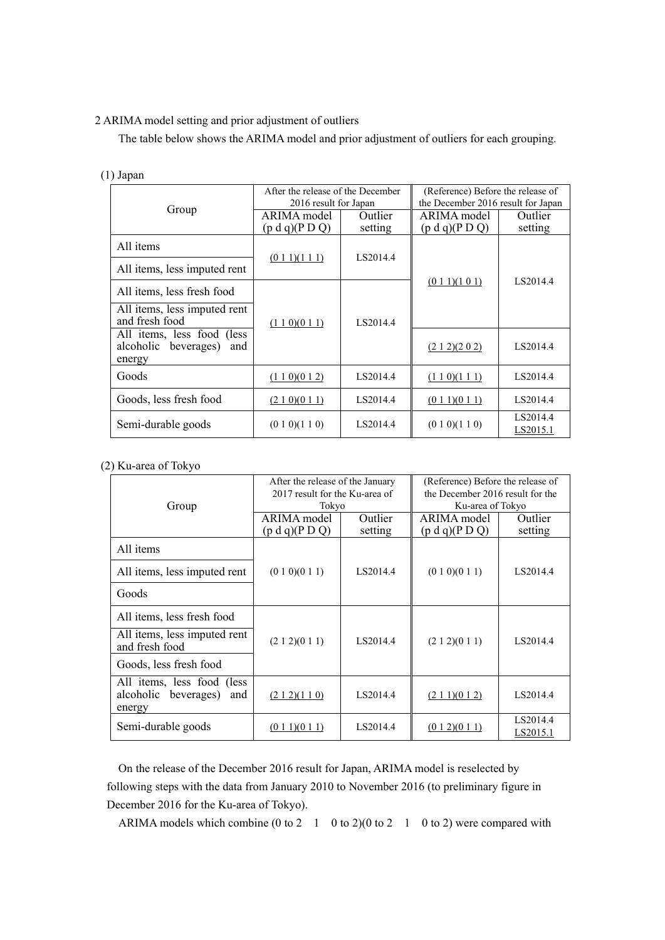### 2 ARIMA model setting and prior adjustment of outliers

The table below shows the ARIMA model and prior adjustment of outliers for each grouping.

| $\cdot$ , $\cdot$ , $\cdot$ , $\cdot$ , $\cdot$                              |                                                            |                    |                                                                         |                      |
|------------------------------------------------------------------------------|------------------------------------------------------------|--------------------|-------------------------------------------------------------------------|----------------------|
| Group                                                                        | After the release of the December<br>2016 result for Japan |                    | (Reference) Before the release of<br>the December 2016 result for Japan |                      |
|                                                                              | ARIMA model<br>(p d q)(P D Q)                              | Outlier<br>setting | ARIMA model<br>(p d q)(P D Q)                                           | Outlier<br>setting   |
| All items                                                                    | (0 1 1)(1 1 1)                                             | LS2014.4           | $(0\ 1\ 1)(1\ 0\ 1)$                                                    | LS2014.4             |
| All items, less imputed rent                                                 |                                                            |                    |                                                                         |                      |
| All items, less fresh food<br>All items, less imputed rent<br>and fresh food | (1 1 0)(0 1 1)                                             | LS2014.4           |                                                                         |                      |
| All items, less food (less<br>alcoholic beverages)<br>and<br>energy          |                                                            |                    | (212)(202)                                                              | LS2014.4             |
| Goods                                                                        | (1 1 0)(0 1 2)                                             | LS2014.4           | (1 1 0)(1 1 1)                                                          | LS2014.4             |
| Goods, less fresh food                                                       | (210)(011)                                                 | LS2014.4           | (0 1 1)(0 1 1)                                                          | LS2014.4             |
| Semi-durable goods                                                           | (0 1 0)(1 1 0)                                             | LS2014.4           | (0 1 0)(1 1 0)                                                          | LS2014.4<br>LS2015.1 |

### $(1)$  Japan

# $(2)$  Ku-area of Tokyo

| Group                                                               | After the release of the January<br>2017 result for the Ku-area of<br>Tokyo |                    | (Reference) Before the release of<br>the December 2016 result for the<br>Ku-area of Tokyo |                      |
|---------------------------------------------------------------------|-----------------------------------------------------------------------------|--------------------|-------------------------------------------------------------------------------------------|----------------------|
|                                                                     | ARIMA model<br>(p d q)(P D Q)                                               | Outlier<br>setting | ARIMA model<br>(p d q)(P D Q)                                                             | Outlier<br>setting   |
| All items                                                           |                                                                             |                    |                                                                                           |                      |
| All items, less imputed rent                                        | (0 1 0)(0 1 1)                                                              | LS2014.4           | (0 1 0)(0 1 1)                                                                            | LS2014.4             |
| Goods                                                               |                                                                             |                    |                                                                                           |                      |
| All items, less fresh food                                          | (2 1 2)(0 1 1)                                                              | LS2014.4           | (2 1 2)(0 1 1)                                                                            | LS2014.4             |
| All items, less imputed rent<br>and fresh food                      |                                                                             |                    |                                                                                           |                      |
| Goods, less fresh food                                              |                                                                             |                    |                                                                                           |                      |
| All items, less food (less<br>alcoholic beverages)<br>and<br>energy | (212)(110)                                                                  | LS2014.4           | (2 1 1)(0 1 2)                                                                            | LS2014.4             |
| Semi-durable goods                                                  | (0 1 1)(0 1 1)                                                              | LS2014.4           | (012)(011)                                                                                | LS2014.4<br>LS2015.1 |

On the release of the December 2016 result for Japan, ARIMA model is reselected by following steps with the data from January 2010 to November 2016 (to preliminary figure in December 2016 for the Ku-area of Tokyo).

ARIMA models which combine (0 to 2  $1 \t0$  to 2)(0 to 2  $1 \t0$  to 2) were compared with